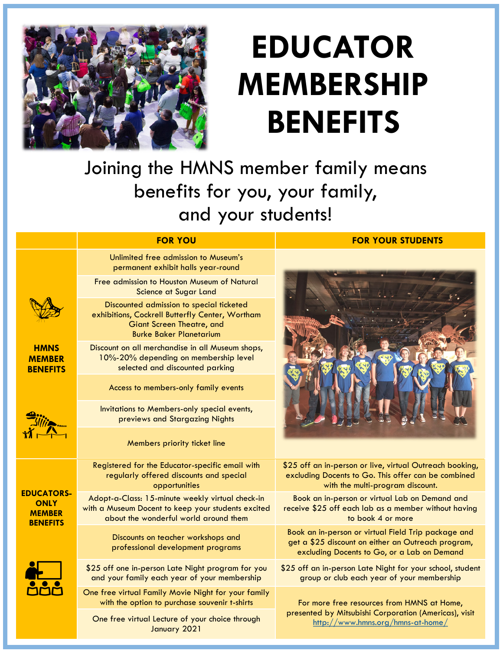

## **EDUCATOR MEMBERSHIP BENEFITS**

Joining the HMNS member family means benefits for you, your family, and your students!

## **FOR YOU FOR YOUR STUDENTS**

## **HMNS MEMBER BENEFITS** Unlimited free admission to Museum's permanent exhibit halls year-round Free admission to Houston Museum of Natural Science at Sugar Land Discounted admission to special ticketed exhibitions, Cockrell Butterfly Center, Wortham Giant Screen Theatre, and Burke Baker Planetarium Discount on all merchandise in all Museum shops, 10%-20% depending on membership level selected and discounted parking Access to members-only family events Invitations to Members-only special events, previews and Stargazing Nights Members priority ticket line **EDUCATORS-ONLY MEMBER BENEFITS** Registered for the Educator-specific email with regularly offered discounts and special opportunities \$25 off an in-person or live, virtual Outreach booking, excluding Docents to Go. This offer can be combined with the multi-program discount. Adopt-a-Class: 15-minute weekly virtual check-in with a Museum Docent to keep your students excited about the wonderful world around them Book an in-person or virtual Lab on Demand and receive \$25 off each lab as a member without having to book 4 or more Discounts on teacher workshops and professional development programs Book an in-person or virtual Field Trip package and get a \$25 discount on either an Outreach program, excluding Docents to Go, or a Lab on Demand \$25 off one in-person Late Night program for you and your family each year of your membership \$25 off an in-person Late Night for your school, student group or club each year of your membership One free virtual Family Movie Night for your family with the option to purchase souvenir t-shirts For more free resources from HMNS at Home, presented by Mitsubishi Corporation (Americas), visit One free virtual Lecture of your choice through <http://www.hmns.org/hmns-at-home/> January 2021